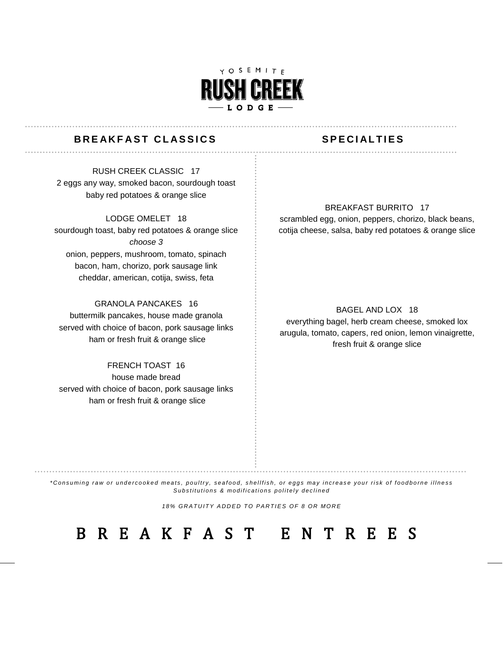

### **BREAKFAST CLASSICS** SPECIALTIES

. . . . . . . . . . . . . .

RUSH CREEK CLASSIC 17 2 eggs any way, smoked bacon, sourdough toast baby red potatoes & orange slice

#### LODGE OMELET 18

sourdough toast, baby red potatoes & orange slice *choose 3*  onion, peppers, mushroom, tomato, spinach bacon, ham, chorizo, pork sausage link cheddar, american, cotija, swiss, feta

### GRANOLA PANCAKES 16

buttermilk pancakes, house made granola served with choice of bacon, pork sausage links ham or fresh fruit & orange slice

FRENCH TOAST 16 house made bread served with choice of bacon, pork sausage links ham or fresh fruit & orange slice

#### BREAKFAST BURRITO 17

scrambled egg, onion, peppers, chorizo, black beans, cotija cheese, salsa, baby red potatoes & orange slice

BAGEL AND LOX 18

everything bagel, herb cream cheese, smoked lox arugula, tomato, capers, red onion, lemon vinaigrette, fresh fruit & orange slice

*\* C o n s u mi n g r a w o r u n d e r c o o k e d me a t s , p o u l t r y , s e a f o o d , s h e l l f i s h , o r e g g s ma y i n c r e a s e y o u r r i s k o f f o o d b o r n e i l l n e s s* Substitutions & modifications politely declined

18% GRATUITY ADDED TO PARTIES OF 8 OR MORE

# B R E A K F A S T E N T R E E S